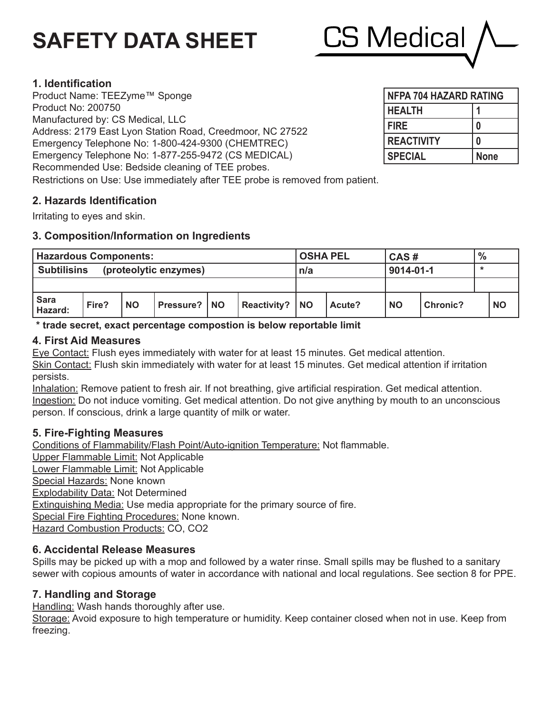# **SAFETY DATA SHEET**



# **1. Identification**

Product Name: TEEZyme™ Sponge Product No: 200750 Manufactured by: CS Medical, LLC Address: 2179 East Lyon Station Road, Creedmoor, NC 27522 Emergency Telephone No: 1-800-424-9300 (CHEMTREC) Emergency Telephone No: 1-877-255-9472 (CS MEDICAL) Recommended Use: Bedside cleaning of TEE probes. Restrictions on Use: Use immediately after TEE probe is removed from patient.

# **2. Hazards Identification**

Irritating to eyes and skin.

# **3. Composition/Information on Ingredients**

| <b>Hazardous Components:</b>                |       |           |                  |    |                    |            | <b>OSHA PEL</b> |           | CAS#            |   | $\%$      |  |
|---------------------------------------------|-------|-----------|------------------|----|--------------------|------------|-----------------|-----------|-----------------|---|-----------|--|
| <b>Subtilisins</b><br>(proteolytic enzymes) |       |           |                  |    |                    | n/a        |                 | 9014-01-1 |                 | * |           |  |
|                                             |       |           |                  |    |                    |            |                 |           |                 |   |           |  |
| <b>Sara</b><br>Hazard:                      | Fire? | <b>NO</b> | <b>Pressure?</b> | NO | <b>Reactivity?</b> | <b>INO</b> | Acute?          | <b>NO</b> | <b>Chronic?</b> |   | <b>NO</b> |  |

**\* trade secret, exact percentage compostion is below reportable limit**

## **4. First Aid Measures**

Eye Contact: Flush eyes immediately with water for at least 15 minutes. Get medical attention. Skin Contact: Flush skin immediately with water for at least 15 minutes. Get medical attention if irritation persists.

Inhalation: Remove patient to fresh air. If not breathing, give artificial respiration. Get medical attention. Ingestion: Do not induce vomiting. Get medical attention. Do not give anything by mouth to an unconscious person. If conscious, drink a large quantity of milk or water.

# **5. Fire-Fighting Measures**

Conditions of Flammability/Flash Point/Auto-ignition Temperature: Not flammable. Upper Flammable Limit: Not Applicable Lower Flammable Limit: Not Applicable Special Hazards: None known Explodability Data: Not Determined Extinguishing Media: Use media appropriate for the primary source of fire. Special Fire Fighting Procedures: None known. Hazard Combustion Products: CO, CO2

# **6. Accidental Release Measures**

Spills may be picked up with a mop and followed by a water rinse. Small spills may be flushed to a sanitary sewer with copious amounts of water in accordance with national and local regulations. See section 8 for PPE.

# **7. Handling and Storage**

Handling: Wash hands thoroughly after use.

Storage: Avoid exposure to high temperature or humidity. Keep container closed when not in use. Keep from freezing.

| <b>NFPA 704 HAZARD RATING</b> |             |  |  |  |  |  |
|-------------------------------|-------------|--|--|--|--|--|
| <b>HEALTH</b>                 |             |  |  |  |  |  |
| <b>FIRE</b>                   |             |  |  |  |  |  |
| <b>REACTIVITY</b>             |             |  |  |  |  |  |
| <b>SPECIAL</b>                | <b>None</b> |  |  |  |  |  |